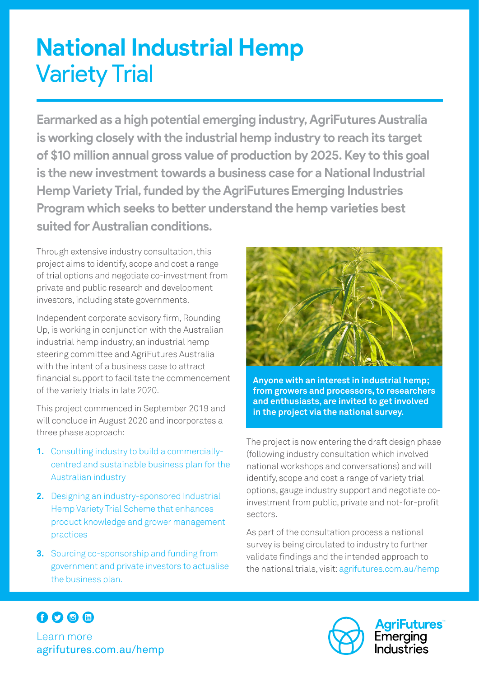# **National Industrial Hemp**  Variety Trial

**Earmarked as a high potential emerging industry, AgriFutures Australia is working closely with the industrial hemp industry to reach its target of \$10 million annual gross value of production by 2025. Key to this goal is the new investment towards a business case for a National Industrial Hemp Variety Trial, funded by the AgriFuturesEmerging Industries Program which seeks to better understand the hemp varieties best suited for Australian conditions.** 

Through extensive industry consultation, this project aims to identify, scope and cost a range of trial options and negotiate co-investment from private and public research and development investors, including state governments.

Independent corporate advisory firm, Rounding Up, is working in conjunction with the Australian industrial hemp industry, an industrial hemp steering committee and AgriFutures Australia with the intent of a business case to attract financial support to facilitate the commencement of the variety trials in late 2020.

This project commenced in September 2019 and will conclude in August 2020 and incorporates a three phase approach:

- **1.** Consulting industry to build a commerciallycentred and sustainable business plan for the Australian industry
- **2.** Designing an industry-sponsored Industrial Hemp Variety Trial Scheme that enhances product knowledge and grower management practices
- **3.** Sourcing co-sponsorship and funding from government and private investors to actualise the business plan.



**Anyone with an interest in industrial hemp; from growers and processors, to researchers and enthusiasts, are invited to get involved in the project via the national survey.** 

The project is now entering the draft design phase (following industry consultation which involved national workshops and conversations) and will identify, scope and cost a range of variety trial options, gauge industry support and negotiate coinvestment from public, private and not-for-profit sectors.

As part of the consultation process a national survey is being circulated to industry to further validate findings and the intended approach to the national trials, visit: agrifutures.com.au/hemp



Learn more agrifutures.com.au/hemp



**AgriFutures**" Emerging <u>Industries</u>